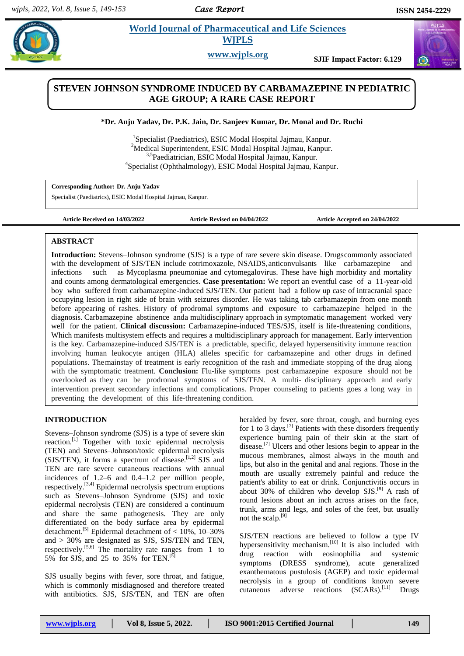*Case Report* 

 $\bm{\bm{\odot}}$ 

#### **Rajara** *Et al. 2005* **Mortal Journal of Pharmaceutical and Life Sciences <b>Algebra** 2006  **World Journal of Pharmaceutical and Life Sciences WJPLS**

**www.wjpls.org SJIF Impact Factor: 6.129**

# **STEVEN JOHNSON SYNDROME INDUCED BY CARBAMAZEPINE IN PEDIATRIC AGE GROUP; A RARE CASE REPORT**

# **\*Dr. Anju Yadav, Dr. P.K. Jain, Dr. Sanjeev Kumar, Dr. Monal and Dr. Ruchi**

1 Specialist (Paediatrics), ESIC Modal Hospital Jajmau, Kanpur. <sup>2</sup>Medical Superintendent, ESIC Modal Hospital Jajmau, Kanpur. 3,5Paediatrician, ESIC Modal Hospital Jajmau, Kanpur. 4 Specialist (Ophthalmology), ESIC Modal Hospital Jajmau, Kanpur.

**Corresponding Author: Dr. Anju Yadav**

Specialist (Paediatrics), ESIC Modal Hospital Jajmau, Kanpur.

**Article Received on 14/03/2022 Article Revised on 04/04/2022 Article Accepted on 24/04/2022**

### **ABSTRACT**

**Introduction:** Stevens–Johnson syndrome (SJS) is a type of rare severe [skin d](https://en.m.wikipedia.org/wiki/Skin_reaction)isease. Drugscommonly associated with the development of SJS/TEN include cotrimoxazole, NSAIDS, anticonvulsants like carbamazepine and infections such as [Mycoplasma](https://en.m.wikipedia.org/wiki/Mycoplasma_pneumoniae) [pneumoniae a](https://en.m.wikipedia.org/wiki/Mycoplasma_pneumoniae)nd [cytomegalovirus.](https://en.m.wikipedia.org/wiki/Cytomegalovirus) These have high morbidity and mortality and counts among dermatological emergencies. **Case presentation:** We report an eventful case of a 11-year-old boy who suffered from carbamazepine-induced SJS/TEN. Our patient had a follow up case of intracranial space occupying lesion in right side of brain with seizures disorder. He was taking tab carbamazepin from one month before appearing of rashes. History of prodromal symptoms and exposure to carbamazepine helped in the diagnosis. Carbamazepine abstinence anda multidisciplinary approach in symptomatic management worked very well for the patient. **Clinical discussion:** Carbamazepine-induced TES/SJS, itself is life-threatening conditions, Which manifests multisystem effects and requires a multidisciplinary approach for management. Early intervention is the key. Carbamazepine-induced SJS/TEN is a predictable, specific, delayed hypersensitivity immune reaction involving human leukocyte antigen (HLA) alleles specific for carbamazepine and other drugs in defined populations. Themainstay of treatment is early recognition of the rash and immediate stopping of the drug along with the symptomatic treatment. **Conclusion:** Flu-like symptoms post carbamazepine exposure should not be overlooked as they can be prodromal symptoms of SJS/TEN. A multi- disciplinary approach and early intervention prevent secondary infections and complications. Proper counseling to patients goes a long way in preventing the development of this life-threatening condition.

# **INTRODUCTION**

Stevens–Johnson syndrome (SJS) is a type of severe [skin](https://en.m.wikipedia.org/wiki/Skin_reaction) [reaction.](https://en.m.wikipedia.org/wiki/Skin_reaction)<sup>[\[1\]](https://en.m.wikipedia.org/wiki/Stevens%E2%80%93Johnson_syndrome#cite_note-GHR2015-1)</sup> Together with [toxic](https://en.m.wikipedia.org/wiki/Toxic_epidermal_necrolysis) epidermal necrolysis (TEN) and [Stevens–Johnson/toxic](https://en.m.wikipedia.org/wiki/Stevens%E2%80%93Johnson_syndrome#Classification) epidermal necrolysis  $(SJS/TEM)$ , it forms a [spectrum](https://en.m.wikipedia.org/wiki/Spectrum_of_disease) of disease.<sup>[1,2]</sup> SJS and TEN are rare severe cutaneous reactions with annual incidences of 1.2–6 and 0.4–1.2 per million people, respectively.<sup>[3,4]</sup> Epidermal necrolysis spectrum eruptions such as Stevens–Johnson Syndrome (SJS) and toxic epidermal necrolysis (TEN) are considered a continuum and share the same pathogenesis. They are only differentiated on the body surface area by epidermal detachment.<sup>[5]</sup> Epidermal detachment of  $< 10\%$ , 10-30% and > 30% are designated as SJS, SJS/TEN and TEN, respectively.<sup>[5,6]</sup> The mortality rate ranges from 1 to 5% for SJS, and 25 to 35% for TEN.<sup>[5]</sup>

SJS usually begins with [fever,](https://en.m.wikipedia.org/wiki/Fever) sore throat, and [fatigue,](https://en.m.wikipedia.org/wiki/Fatigue_(medical)) which is commonly misdiagnosed and therefore treated with antibiotics. SJS, SJS/TEN, and TEN are often heralded by fever, sore throat, cough, and burning eyes for 1 to 3 day[s.](https://en.m.wikipedia.org/wiki/Stevens%E2%80%93Johnson_syndrome#cite_note-%3A0-8)<sup>[7]</sup> Patients with these disorders frequently experience burning pain of their skin at the start of disease.<sup>[\[7\]](https://en.m.wikipedia.org/wiki/Stevens%E2%80%93Johnson_syndrome#cite_note-%3A0-8)</sup> Ulcers and other lesions begin to appear in the mucous membranes, almost always in the mouth and lips, but also in the genital and anal regions. Those in the mouth are usually extremely painful and reduce the patient's ability to eat or drink. [Conjunctivitis o](https://en.m.wikipedia.org/wiki/Conjunctivitis)ccurs in about 30% of children who develop  $SJS^{[8]}$  $SJS^{[8]}$  $SJS^{[8]}$  A rash of round lesions about an inch across arises on the face, trunk, arms and legs, and soles of the feet, but usually not the scalp. $^{[9]}$  $^{[9]}$  $^{[9]}$ 

SJS/TEN reactions are believed to follow a [type IV](https://en.m.wikipedia.org/wiki/Type_IV_hypersensitivity)  [hypersensitivity m](https://en.m.wikipedia.org/wiki/Type_IV_hypersensitivity)echanism.<sup>[\[10\]](https://en.m.wikipedia.org/wiki/Stevens%E2%80%93Johnson_syndrome#cite_note-6)</sup> It is also included with drug reaction with [eosinophilia](https://en.m.wikipedia.org/wiki/Drug_reaction_with_eosinophilia_and_systemic_symptoms) and systemic [symptoms \(](https://en.m.wikipedia.org/wiki/Drug_reaction_with_eosinophilia_and_systemic_symptoms)DRESS syndrome), acute [generalized](https://en.m.wikipedia.org/wiki/Acute_generalized_exanthematous_pustulosis) [exanthematous](https://en.m.wikipedia.org/wiki/Acute_generalized_exanthematous_pustulosis) pustulosis (AGEP) and toxic epidermal necrolysis in a group of conditions known [severe](https://en.m.wikipedia.org/wiki/Severe_cutaneous_adverse_reactions)  [cutaneous adverse reactions \(](https://en.m.wikipedia.org/wiki/Severe_cutaneous_adverse_reactions)SCARs).<sup>[\[11\]](https://en.m.wikipedia.org/wiki/Stevens%E2%80%93Johnson_syndrome#cite_note-Adler2017-7)</sup> Drugs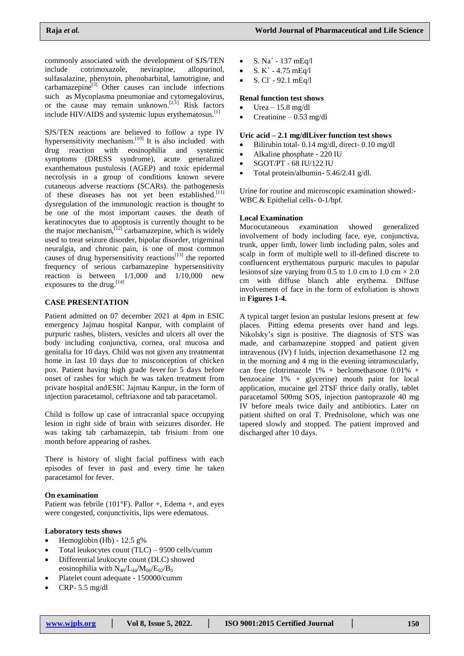commonly associated with the development of SJS/TEN include cotrimoxazole, nevirapine, allopurinol, sulfasalazine, phenytoin, phenobarbital, lamotrigine, and  $carbamazepine<sup>[3]</sup>$  Other causes can include infections such as [Mycoplasma](https://en.m.wikipedia.org/wiki/Mycoplasma_pneumoniae) [pneumoniae a](https://en.m.wikipedia.org/wiki/Mycoplasma_pneumoniae)nd [cytomegalovirus,](https://en.m.wikipedia.org/wiki/Cytomegalovirus) or the cause may remain unknown.<sup>[\[2,1\]](https://en.m.wikipedia.org/wiki/Stevens%E2%80%93Johnson_syndrome#cite_note-GARD2015-2)</sup> Risk factors include [HIV/AIDS](https://en.m.wikipedia.org/wiki/HIV/AIDS) and systemic lupus [erythematosus.](https://en.m.wikipedia.org/wiki/Systemic_lupus_erythematosus)<sup>[1]</sup>

SJS/TEN reactions are believed to follow a [type IV](https://en.m.wikipedia.org/wiki/Type_IV_hypersensitivity)  [hypersensitivity m](https://en.m.wikipedia.org/wiki/Type_IV_hypersensitivity)echanism.<sup>[\[10\]](https://en.m.wikipedia.org/wiki/Stevens%E2%80%93Johnson_syndrome#cite_note-6)</sup> It is also included with drug reaction with [eosinophilia](https://en.m.wikipedia.org/wiki/Drug_reaction_with_eosinophilia_and_systemic_symptoms) and systemic [symptoms \(](https://en.m.wikipedia.org/wiki/Drug_reaction_with_eosinophilia_and_systemic_symptoms)DRESS syndrome), acute [generalized](https://en.m.wikipedia.org/wiki/Acute_generalized_exanthematous_pustulosis) [exanthematous](https://en.m.wikipedia.org/wiki/Acute_generalized_exanthematous_pustulosis) pustulosis (AGEP) and toxic epidermal necrolysis in a group of conditions known [severe](https://en.m.wikipedia.org/wiki/Severe_cutaneous_adverse_reactions)  [cutaneous adverse reactions \(](https://en.m.wikipedia.org/wiki/Severe_cutaneous_adverse_reactions)SCARs). the pathogenesis of these diseases has not yet been established.[11] dysregulation of the immunologic reaction is thought to be one of the most important causes. the death of keratinocytes due to apoptosis is currently thought to be the major mechanism, <sup>[12]</sup> carbamazepine, which is widely used to treat seizure disorder, bipolar disorder, trigeminal neuralgia, and chronic pain, is one of most common causes of drug hypersensitivity reactions<sup>[13]</sup> the reported frequency of serious carbamazepine hypersensitivity reaction is between 1/1,000 and 1/10,000 new exposures to the drug.<sup>[14]</sup>

#### **CASE PRESENTATION**

Patient admitted on 07 december 2021 at 4pm in ESIC emergency Jajmau hospital Kanpur, with complaint of purpuric rashes, blisters, vesicles and ulcers all over the body including conjunctiva, cornea, oral mucosa and genitalia for 10 days. Child was not given any treatmentat home in last 10 days due to misconception of chicken pox. Patient having high grade fever for 5 days before onset of rashes for which he was taken treatment from private hospital andESIC Jajmau Kanpur, in the form of injection paracetamol, ceftriaxone and tab paracetamol.

Child is follow up case of intracranial space occupying lesion in right side of brain with seizures disorder. He was taking tab carbamazepin, tab frisium from one month before appearing of rashes.

There is history of slight facial puffiness with each episodes of fever in past and every time he taken paracetamol for fever.

#### **On examination**

Patient was febrile  $(101^{\circ}F)$ . Pallor +, Edema +, and eyes were congested, conjunctivitis, lips were edematous.

#### **Laboratory tests shows**

- Hemoglobin (Hb) 12.5 g%
- Total leukocytes count (TLC) 9500 cells/cumm
- Differential leukocyte count (DLC) showed eosinophilia with  $N_{48}/L_{44}/M_{06}/E_{02}/B_0$
- Platelet count adequate 150000/cumm
- CRP- 5.5 mg/dl
- S.  $Na^+ 137$  mEq/l
- S.  $K^+$  4.75 mEq/l
- $\bullet$  S. Cl<sup>-</sup> 92.1 mEq/l

#### **Renal function test shows**

- Urea 15.8 mg/dl
- Creatinine 0.53 mg/dl

### **Uric acid – 2.1 mg/dlLiver function test shows**

- Bilirubin total- 0.14 mg/dl, direct- 0.10 mg/dl
- Alkaline phosphate 220 IU
- SGOT/PT 68 IU/122 IU
- Total protein/albumin- 5.46/2.41 g/dl.

Urine for routine and microscopic examination showed:- WBC & Epithelial cells- 0-1/hpf.

#### **Local Examination**

Mucocutaneous examination showed generalized involvement of body including face, eye, conjunctiva, trunk, upper limb, lower limb including palm, soles and scalp in form of multiple well to ill-defined discrete to confluencent erythematous purpuric macules to papular lesions of size varying from 0.5 to 1.0 cm to 1.0 cm  $\times$  2.0 cm with diffuse blanch able erythema. Diffuse involvement of face in the form of exfoliation is shown in **Figures 1-4.**

A typical target lesion an pustular lesions present at few places. Pitting edema presents over hand and legs. Nikolsky's sign is positive. The diagnosis of STS was made, and carbamazepine stopped and patient given intravenous (IV) f luids, injection dexamethasone 12 mg in the morning and 4 mg in the evening intramuscularly, can free (clotrimazole 1% + beclomethasone 0.01% + benzocaine 1% + glycerine) mouth paint for local application, mucaine gel 2TSF thrice daily orally, tablet paracetamol 500mg SOS, injection pantoprazole 40 mg IV before meals twice daily and antibiotics. Later on patient shifted on oral T. Prednisolone, which was one tapered slowly and stopped. The patient improved and discharged after 10 days.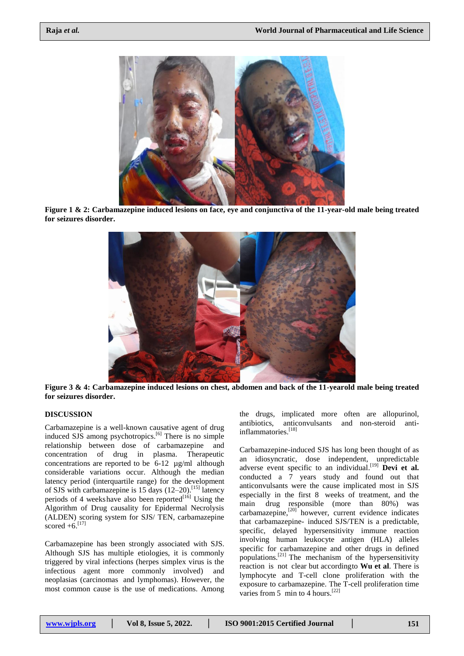

**Figure 1 & 2: Carbamazepine induced lesions on face, eye and conjunctiva of the 11-year-old male being treated for seizures disorder.**



**Figure 3 & 4: Carbamazepine induced lesions on chest, abdomen and back of the 11-yearold male being treated for seizures disorder.**

# **DISCUSSION**

Carbamazepine is a well-known causative agent of drug induced SJS among psychotropics.<sup>[6]</sup> There is no simple relationship between dose of carbamazepine and concentration of drug in plasma. Therapeutic concentrations are reported to be 6-12 µg/ml although considerable variations occur. Although the median latency period (interquartile range) for the development of SJS with carbamazepine is 15 days (12–20). [15] latency periods of 4 weeks have also been reported $[16]$  Using the Algorithm of Drug causality for Epidermal Necrolysis (ALDEN) scoring system for SJS/ TEN, carbamazepine scored  $+6$ . [17]

Carbamazepine has been strongly associated with SJS. Although SJS has multiple etiologies, it is commonly triggered by viral infections (herpes simplex virus is the infectious agent more commonly involved) and neoplasias (carcinomas and lymphomas). However, the most common cause is the use of medications. Among

the drugs, implicated more often are allopurinol, antibiotics, anticonvulsants and non-steroid antiinflammatories. [18]

Carbamazepine-induced SJS has long been thought of as an idiosyncratic, dose independent, unpredictable adverse event specific to an individual.<sup>[19]</sup> **Devi et al.** conducted a 7 years study and found out that anticonvulsants were the cause implicated most in SJS especially in the first 8 weeks of treatment, and the main drug responsible (more than 80%) was carbamazepine,<sup>[20]</sup> however, current evidence indicates that carbamazepine- induced SJS/TEN is a predictable, specific, delayed hypersensitivity immune reaction involving human leukocyte antigen (HLA) alleles specific for carbamazepine and other drugs in defined populations. [21] The mechanism of the hypersensitivity reaction is not clear but accordingto **Wu et al**. There is lymphocyte and T-cell clone proliferation with the exposure to carbamazepine. The T-cell proliferation time varies from 5 min to 4 hours.<sup>[22]</sup>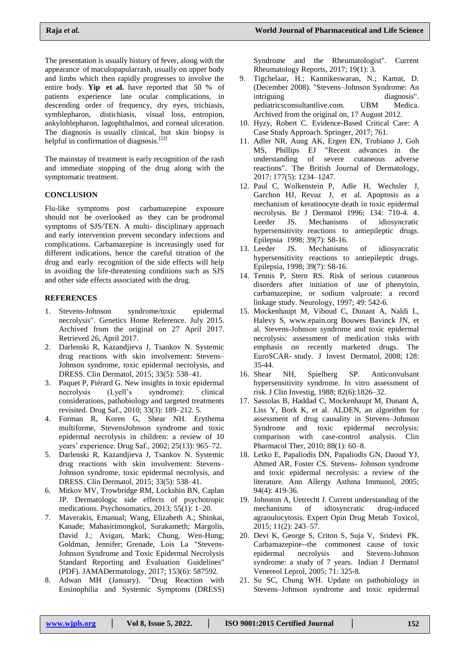The presentation is usually history of fever, along with the appearance of maculopapularrash, usually on upper body and limbs which then rapidly progresses to involve the entire body. **Yip et al.** have reported that 50 % of patients experience late ocular complications, in descending order of frequency, dry eyes, trichiasis, symblepharon, distichiasis, visual loss, entropion, ankyloblepharon, lagophthalmos, and corneal ulceration. The diagnosis is usually clinical, but skin biopsy is helpful in confirmation of diagnosis.<sup>[23]</sup>

The mainstay of treatment is early recognition of the rash and immediate stopping of the drug along with the symptomatic treatment.

# **CONCLUSION**

Flu-like symptoms post carbamazepine exposure should not be overlooked as they can be prodromal symptoms of SJS/TEN. A multi- disciplinary approach and early intervention prevent secondary infections and complications. Carbamazepine is increasingly used for different indications, hence the careful titration of the drug and early recognition of the side effects will help in avoiding the life-threatening conditions such as SJS and other side effects associated with the drug.

# **REFERENCES**

- 1. [Stevens-Johnson syndrome/toxic epidermal](https://ghr.nlm.nih.gov/condition/stevens-johnson-syndrome-toxic-epidermal-necrolysis)  [necrolysis".](https://ghr.nlm.nih.gov/condition/stevens-johnson-syndrome-toxic-epidermal-necrolysis) Genetics Home Reference. July 2015. Archived from the original on 27 April 2017. Retrieved 26, April 2017.
- 2. Darlenski R, Kazandjieva J, Tsankov N. Systemic drug reactions with skin involvement: Stevens– Johnson syndrome, toxic epidermal necrolysis, and DRESS. Clin Dermatol, 2015; 33(5): 538–41.
- 3. Paquet P, Piérard G. New insights in toxic epidermal necrolysis (Lyell's syndrome): clinical considerations, pathobiology and targeted treatments revisited. Drug Saf., 2010; 33(3): 189–212. 5.
- 4. Forman R, Koren G, Shear NH. Erythema multiforme, StevensJohnson syndrome and toxic epidermal necrolysis in children: a review of 10 years' experience. Drug Saf., 2002; 25(13): 965–72.
- 5. Darlenski R, Kazandjieva J, Tsankov N. Systemic drug reactions with skin involvement: Stevens– Johnson syndrome, toxic epidermal necrolysis, and DRESS. Clin Dermatol, 2015; 33(5): 538–41.
- 6. Mitkov MV, Trowbridge RM, Lockshin BN, Caplan JP. Dermatologic side effects of psychotropic medications. Psychosomatics, 2013; 55(1): 1–20.
- 7. Maverakis, Emanual; Wang, Elizabeth A.; Shinkai, Kanade; Mahasirimongkol, Surakameth; Margolis, David J.; Avigan, Mark; Chung, Wen-Hung; Goldman, Jennifer; Grenade, Lois La ["Stevens-](http://www.zora.uzh.ch/id/eprint/144140/1/LF_2017_Stevens-Johnson_Syndrome_and_Toxic_Necrolysis_Standard_Reporting_and_Evaluation_Guidlines_-_Results_of_a_National_Institutes_of_Health_Working_Group.pdf)[Johnson Syndrome and Toxic Epidermal Necrolysis](http://www.zora.uzh.ch/id/eprint/144140/1/LF_2017_Stevens-Johnson_Syndrome_and_Toxic_Necrolysis_Standard_Reporting_and_Evaluation_Guidlines_-_Results_of_a_National_Institutes_of_Health_Working_Group.pdf) [Standard Reporting and Evaluation](http://www.zora.uzh.ch/id/eprint/144140/1/LF_2017_Stevens-Johnson_Syndrome_and_Toxic_Necrolysis_Standard_Reporting_and_Evaluation_Guidlines_-_Results_of_a_National_Institutes_of_Health_Working_Group.pdf) [Guidelines"](http://www.zora.uzh.ch/id/eprint/144140/1/LF_2017_Stevens-Johnson_Syndrome_and_Toxic_Necrolysis_Standard_Reporting_and_Evaluation_Guidlines_-_Results_of_a_National_Institutes_of_Health_Working_Group.pdf) (PDF). JAMADermatology, 2017; 153(6): 587592.
- 8. Adwan MH (January). "Drug Reaction with Eosinophilia and Systemic Symptoms (DRESS)

Syndrome and the Rheumatologist". Current Rheumatology Reports, 2017; 19(1): 3.

- 9. Tigchelaar, H.; Kannikeswaran, N.; Kamat, D. (December 2008). ["Stevens–Johnson](http://www.pediatricsconsultantlive.com/display/article/1803329/1403936) [Syndrome:](http://www.pediatricsconsultantlive.com/display/article/1803329/1403936) An [intriguing diagnosis".](http://www.pediatricsconsultantlive.com/display/article/1803329/1403936)  pediatricsconsultantlive.com. [UBM](https://en.m.wikipedia.org/wiki/UBM_plc) [Medica.](https://en.m.wikipedia.org/wiki/UBM_plc) Archived from the original on, 17 August 2012.
- 10. Hyzy, Robert C. [Evidence-Based](https://books.google.com/books?id=tgImDwAAQBAJ&pg=PA761) Critical Care: A Case Study [Approach.](https://books.google.com/books?id=tgImDwAAQBAJ&pg=PA761) Springer, 2017; 761.
- 11. Adler NR, Aung AK, Ergen EN, Trubiano J, Goh MS, Phillips EJ "Recent [advances](https://www.ncbi.nlm.nih.gov/pmc/articles/PMC5582023) [in the](https://www.ncbi.nlm.nih.gov/pmc/articles/PMC5582023)  understanding [of severe cutaneous adverse](https://www.ncbi.nlm.nih.gov/pmc/articles/PMC5582023)  [reactions".](https://www.ncbi.nlm.nih.gov/pmc/articles/PMC5582023) The British Journal of Dermatology, 2017; 177(5): 1234–1247.
- 12. Paul C, Wolkenstein P, Adle H, Wechsler J, Garchon HJ, Revuz J, et al. Apoptosis as a mechanism of keratinocyte death in toxic epidermal necrolysis. Br J Dermatol 1996; 134: 710-4. 4. Leeder JS. Mechanisms of idiosyncratic hypersensitivity reactions to antiepileptic drugs. Epilepsia 1998; 39(7): S8-16.
- 13. Leeder JS. Mechanisms of idiosyncratic hypersensitivity reactions to antiepileptic drugs. Epilepsia, 1998; 39(7): S8-16.
- 14. Tennis P, Stern RS. Risk of serious cutaneous disorders after initiation of use of phenytoin, carbamazepine, or sodium valproate: a record linkage study. Neurology, 1997; 49: 542-6.
- 15. Mockenhaupt M, Viboud C, Dunant A, Naldi L, Halevy S, [www.epain.org B](http://www.epain.org/)ouwes Bavinck JN, et al. Stevens-Johnson syndrome and toxic epidermal necrolysis: assessment of medication risks with emphasis on recently marketed drugs. The EuroSCAR- study. J Invest Dermatol, 2008; 128: 35-44.
- 16. Shear NH, Spielberg SP. Anticonvulsant hypersensitivity syndrome. In vitro assessment of risk. J Clin Investig, 1988; 82(6):1826–32.
- 17. Sassolas B, Haddad C, Mockenhaupt M, Dunant A, Liss Y, Bork K, et al. ALDEN, an algorithm for assessment of drug causality in Stevens–Johnson Syndrome and toxic epidermal necrolysis: comparison with case-control analysis. Clin Pharmacol Ther, 2010; 88(1): 60–8.
- 18. Letko E, Papaliodis DN, Papaliodis GN, Daoud YJ, Ahmed AR, Foster CS. Stevens- Johnson syndrome and toxic epidermal necrolysis: a review of the literature. Ann Allergy Asthma Immunol, 2005; 94(4): 419-36.
- 19. Johnston A, Uetrecht J. Current understanding of the mechanisms of idiosyncratic drug-induced agranulocytosis. Expert Opin Drug Metab Toxicol, 2015; 11(2): 243–57.
- 20. Devi K, George S, Criton S, Suja V, Sridevi PK. Carbamazepine--the commonest cause of toxic epidermal necrolysis and Stevens-Johnson syndrome: a study of 7 years. Indian J Dermatol Venereol Leprol, 2005; 71: 325-8.
- 21. Su SC, Chung WH. Update on pathobiology in Stevens–Johnson syndrome and toxic epidermal